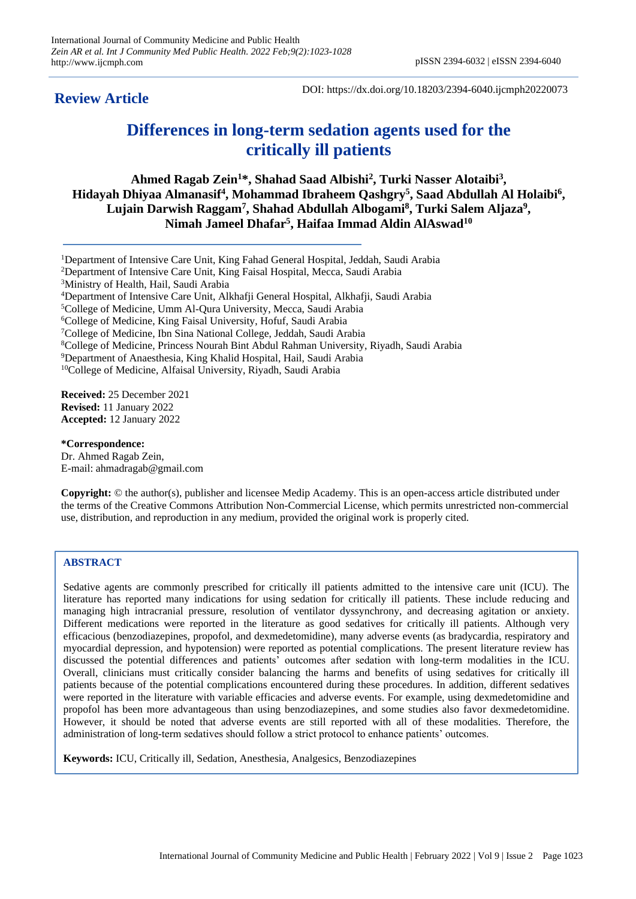**Review Article**

DOI: https://dx.doi.org/10.18203/2394-6040.ijcmph20220073

# **Differences in long-term sedation agents used for the critically ill patients**

**Ahmed Ragab Zein<sup>1</sup>\*, Shahad Saad Albishi<sup>2</sup> , Turki Nasser Alotaibi<sup>3</sup> ,**  Hidayah Dhiyaa Almanasif<sup>4</sup>, Mohammad Ibraheem Qashgry<sup>5</sup>, Saad Abdullah Al Holaibi<sup>6</sup>, **Lujain Darwish Raggam<sup>7</sup> , Shahad Abdullah Albogami<sup>8</sup> , Turki Salem Aljaza<sup>9</sup> , Nimah Jameel Dhafar<sup>5</sup> , Haifaa Immad Aldin AlAswad<sup>10</sup>**

Department of Intensive Care Unit, King Fahad General Hospital, Jeddah, Saudi Arabia Department of Intensive Care Unit, King Faisal Hospital, Mecca, Saudi Arabia Ministry of Health, Hail, Saudi Arabia Department of Intensive Care Unit, Alkhafji General Hospital, Alkhafji, Saudi Arabia College of Medicine, Umm Al-Qura University, Mecca, Saudi Arabia College of Medicine, King Faisal University, Hofuf, Saudi Arabia College of Medicine, Ibn Sina National College, Jeddah, Saudi Arabia College of Medicine, Princess Nourah Bint Abdul Rahman University, Riyadh, Saudi Arabia Department of Anaesthesia, King Khalid Hospital, Hail, Saudi Arabia <sup>10</sup>College of Medicine, Alfaisal University, Riyadh, Saudi Arabia

**Received:** 25 December 2021 **Revised:** 11 January 2022 **Accepted:** 12 January 2022

**\*Correspondence:** Dr. Ahmed Ragab Zein, E-mail: ahmadragab@gmail.com

**Copyright:** © the author(s), publisher and licensee Medip Academy. This is an open-access article distributed under the terms of the Creative Commons Attribution Non-Commercial License, which permits unrestricted non-commercial use, distribution, and reproduction in any medium, provided the original work is properly cited.

# **ABSTRACT**

Sedative agents are commonly prescribed for critically ill patients admitted to the intensive care unit (ICU). The literature has reported many indications for using sedation for critically ill patients. These include reducing and managing high intracranial pressure, resolution of ventilator dyssynchrony, and decreasing agitation or anxiety. Different medications were reported in the literature as good sedatives for critically ill patients. Although very efficacious (benzodiazepines, propofol, and dexmedetomidine), many adverse events (as bradycardia, respiratory and myocardial depression, and hypotension) were reported as potential complications. The present literature review has discussed the potential differences and patients' outcomes after sedation with long-term modalities in the ICU. Overall, clinicians must critically consider balancing the harms and benefits of using sedatives for critically ill patients because of the potential complications encountered during these procedures. In addition, different sedatives were reported in the literature with variable efficacies and adverse events. For example, using dexmedetomidine and propofol has been more advantageous than using benzodiazepines, and some studies also favor dexmedetomidine. However, it should be noted that adverse events are still reported with all of these modalities. Therefore, the administration of long-term sedatives should follow a strict protocol to enhance patients' outcomes.

**Keywords:** ICU, Critically ill, Sedation, Anesthesia, Analgesics, Benzodiazepines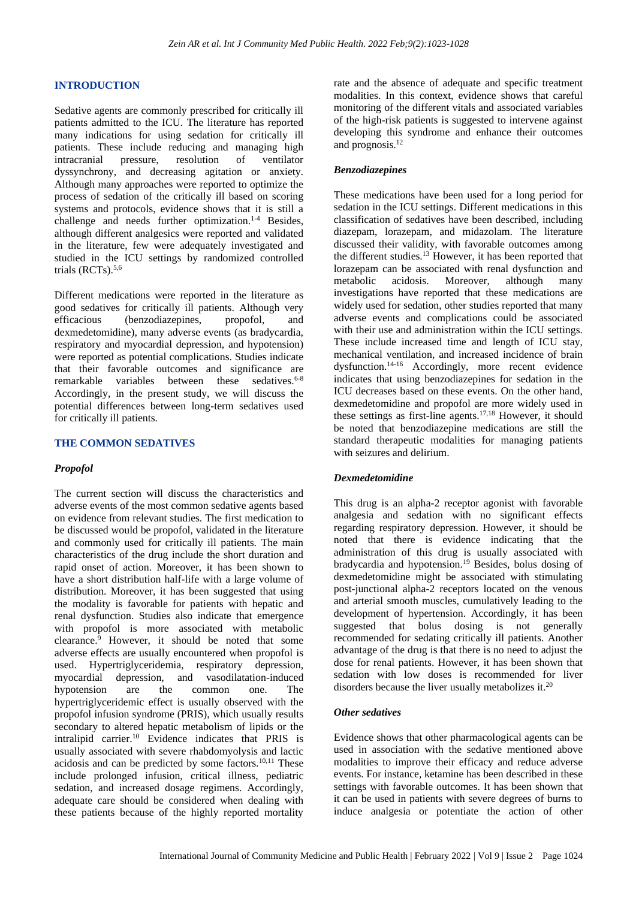## **INTRODUCTION**

Sedative agents are commonly prescribed for critically ill patients admitted to the ICU. The literature has reported many indications for using sedation for critically ill patients. These include reducing and managing high intracranial pressure, resolution of ventilator dyssynchrony, and decreasing agitation or anxiety. Although many approaches were reported to optimize the process of sedation of the critically ill based on scoring systems and protocols, evidence shows that it is still a challenge and needs further optimization.<sup>1-4</sup> Besides, although different analgesics were reported and validated in the literature, few were adequately investigated and studied in the ICU settings by randomized controlled trials (RCTs).5,6

Different medications were reported in the literature as good sedatives for critically ill patients. Although very efficacious (benzodiazepines, propofol, and dexmedetomidine), many adverse events (as bradycardia, respiratory and myocardial depression, and hypotension) were reported as potential complications. Studies indicate that their favorable outcomes and significance are remarkable variables between these sedatives. $6-8$ Accordingly, in the present study, we will discuss the potential differences between long-term sedatives used for critically ill patients.

#### **THE COMMON SEDATIVES**

#### *Propofol*

The current section will discuss the characteristics and adverse events of the most common sedative agents based on evidence from relevant studies. The first medication to be discussed would be propofol, validated in the literature and commonly used for critically ill patients. The main characteristics of the drug include the short duration and rapid onset of action. Moreover, it has been shown to have a short distribution half-life with a large volume of distribution. Moreover, it has been suggested that using the modality is favorable for patients with hepatic and renal dysfunction. Studies also indicate that emergence with propofol is more associated with metabolic clearance. $\frac{1}{9}$  However, it should be noted that some adverse effects are usually encountered when propofol is used. Hypertriglyceridemia, respiratory depression, myocardial depression, and vasodilatation-induced<br>hypotension are the common one. The hypotension are the common one. The hypertriglyceridemic effect is usually observed with the propofol infusion syndrome (PRIS), which usually results secondary to altered hepatic metabolism of lipids or the intralipid carrier.<sup>10</sup> Evidence indicates that PRIS is usually associated with severe rhabdomyolysis and lactic acidosis and can be predicted by some factors.10,11 These include prolonged infusion, critical illness, pediatric sedation, and increased dosage regimens. Accordingly, adequate care should be considered when dealing with these patients because of the highly reported mortality

rate and the absence of adequate and specific treatment modalities. In this context, evidence shows that careful monitoring of the different vitals and associated variables of the high-risk patients is suggested to intervene against developing this syndrome and enhance their outcomes and prognosis.<sup>12</sup>

#### *Benzodiazepines*

These medications have been used for a long period for sedation in the ICU settings. Different medications in this classification of sedatives have been described, including diazepam, lorazepam, and midazolam. The literature discussed their validity, with favorable outcomes among the different studies.<sup>13</sup> However, it has been reported that lorazepam can be associated with renal dysfunction and metabolic acidosis. Moreover, although many investigations have reported that these medications are widely used for sedation, other studies reported that many adverse events and complications could be associated with their use and administration within the ICU settings. These include increased time and length of ICU stay, mechanical ventilation, and increased incidence of brain dysfunction.14-16 Accordingly, more recent evidence indicates that using benzodiazepines for sedation in the ICU decreases based on these events. On the other hand, dexmedetomidine and propofol are more widely used in these settings as first-line agents.<sup>17,18</sup> However, it should be noted that benzodiazepine medications are still the standard therapeutic modalities for managing patients with seizures and delirium.

#### *Dexmedetomidine*

This drug is an alpha-2 receptor agonist with favorable analgesia and sedation with no significant effects regarding respiratory depression. However, it should be noted that there is evidence indicating that the administration of this drug is usually associated with bradycardia and hypotension.<sup>19</sup> Besides, bolus dosing of dexmedetomidine might be associated with stimulating post-junctional alpha-2 receptors located on the venous and arterial smooth muscles, cumulatively leading to the development of hypertension. Accordingly, it has been suggested that bolus dosing is not generally recommended for sedating critically ill patients. Another advantage of the drug is that there is no need to adjust the dose for renal patients. However, it has been shown that sedation with low doses is recommended for liver disorders because the liver usually metabolizes it.<sup>20</sup>

#### *Other sedatives*

Evidence shows that other pharmacological agents can be used in association with the sedative mentioned above modalities to improve their efficacy and reduce adverse events. For instance, ketamine has been described in these settings with favorable outcomes. It has been shown that it can be used in patients with severe degrees of burns to induce analgesia or potentiate the action of other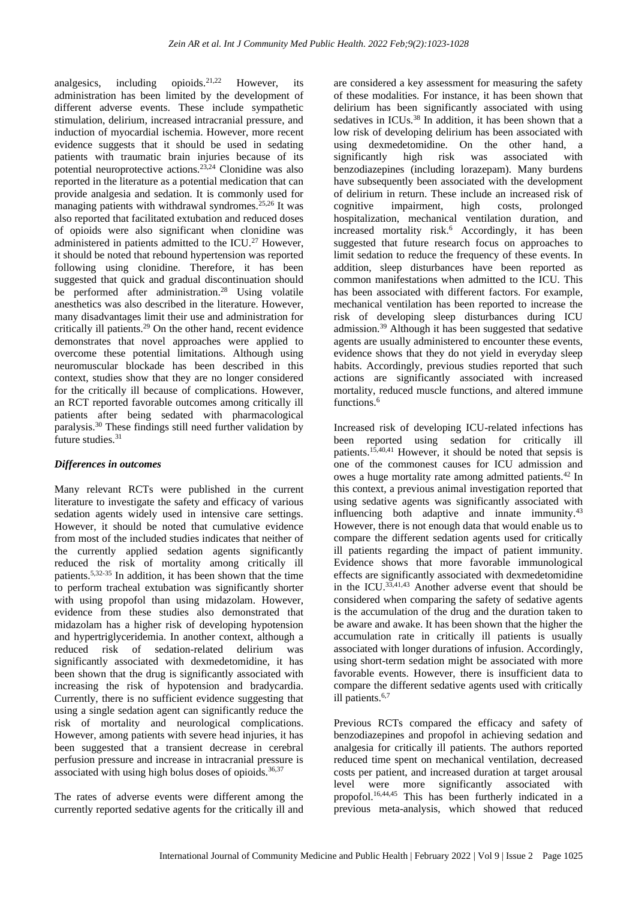analgesics, including opioids.<sup>21,22</sup> However, its administration has been limited by the development of different adverse events. These include sympathetic stimulation, delirium, increased intracranial pressure, and induction of myocardial ischemia. However, more recent evidence suggests that it should be used in sedating patients with traumatic brain injuries because of its potential neuroprotective actions.<sup>23,24</sup> Clonidine was also reported in the literature as a potential medication that can provide analgesia and sedation. It is commonly used for managing patients with withdrawal syndromes. $25,26$  It was also reported that facilitated extubation and reduced doses of opioids were also significant when clonidine was administered in patients admitted to the ICU.<sup>27</sup> However, it should be noted that rebound hypertension was reported following using clonidine. Therefore, it has been suggested that quick and gradual discontinuation should be performed after administration.<sup>28</sup> Using volatile anesthetics was also described in the literature. However, many disadvantages limit their use and administration for critically ill patients.<sup>29</sup> On the other hand, recent evidence demonstrates that novel approaches were applied to overcome these potential limitations. Although using neuromuscular blockade has been described in this context, studies show that they are no longer considered for the critically ill because of complications. However, an RCT reported favorable outcomes among critically ill patients after being sedated with pharmacological paralysis.<sup>30</sup> These findings still need further validation by future studies. $31$ 

## *Differences in outcomes*

Many relevant RCTs were published in the current literature to investigate the safety and efficacy of various sedation agents widely used in intensive care settings. However, it should be noted that cumulative evidence from most of the included studies indicates that neither of the currently applied sedation agents significantly reduced the risk of mortality among critically ill patients.5,32-35 In addition, it has been shown that the time to perform tracheal extubation was significantly shorter with using propofol than using midazolam. However, evidence from these studies also demonstrated that midazolam has a higher risk of developing hypotension and hypertriglyceridemia. In another context, although a reduced risk of sedation-related delirium was significantly associated with dexmedetomidine, it has been shown that the drug is significantly associated with increasing the risk of hypotension and bradycardia. Currently, there is no sufficient evidence suggesting that using a single sedation agent can significantly reduce the risk of mortality and neurological complications. However, among patients with severe head injuries, it has been suggested that a transient decrease in cerebral perfusion pressure and increase in intracranial pressure is associated with using high bolus doses of opioids.<sup>36,37</sup>

The rates of adverse events were different among the currently reported sedative agents for the critically ill and

are considered a key assessment for measuring the safety of these modalities. For instance, it has been shown that delirium has been significantly associated with using sedatives in ICUs.<sup>38</sup> In addition, it has been shown that a low risk of developing delirium has been associated with using dexmedetomidine. On the other hand, a significantly high risk was associated with benzodiazepines (including lorazepam). Many burdens have subsequently been associated with the development of delirium in return. These include an increased risk of cognitive impairment, high costs, prolonged hospitalization, mechanical ventilation duration, and increased mortality risk.<sup>6</sup> Accordingly, it has been suggested that future research focus on approaches to limit sedation to reduce the frequency of these events. In addition, sleep disturbances have been reported as common manifestations when admitted to the ICU. This has been associated with different factors. For example, mechanical ventilation has been reported to increase the risk of developing sleep disturbances during ICU admission.<sup>39</sup> Although it has been suggested that sedative agents are usually administered to encounter these events, evidence shows that they do not yield in everyday sleep habits. Accordingly, previous studies reported that such actions are significantly associated with increased mortality, reduced muscle functions, and altered immune functions.<sup>6</sup>

Increased risk of developing ICU-related infections has been reported using sedation for critically ill patients.15,40,41 However, it should be noted that sepsis is one of the commonest causes for ICU admission and owes a huge mortality rate among admitted patients.<sup>42</sup> In this context, a previous animal investigation reported that using sedative agents was significantly associated with influencing both adaptive and innate immunity.<sup>43</sup> However, there is not enough data that would enable us to compare the different sedation agents used for critically ill patients regarding the impact of patient immunity. Evidence shows that more favorable immunological effects are significantly associated with dexmedetomidine in the ICU. $^{33,41,43}$  Another adverse event that should be considered when comparing the safety of sedative agents is the accumulation of the drug and the duration taken to be aware and awake. It has been shown that the higher the accumulation rate in critically ill patients is usually associated with longer durations of infusion. Accordingly, using short-term sedation might be associated with more favorable events. However, there is insufficient data to compare the different sedative agents used with critically ill patients.6,7

Previous RCTs compared the efficacy and safety of benzodiazepines and propofol in achieving sedation and analgesia for critically ill patients. The authors reported reduced time spent on mechanical ventilation, decreased costs per patient, and increased duration at target arousal level were more significantly associated with propofol.16,44,45 This has been furtherly indicated in a previous meta-analysis, which showed that reduced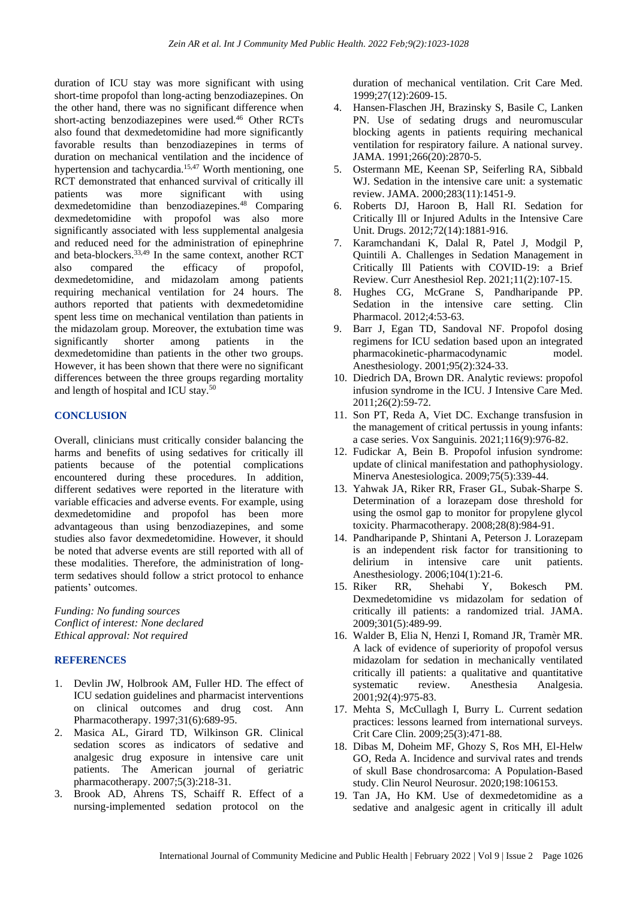duration of ICU stay was more significant with using short-time propofol than long-acting benzodiazepines. On the other hand, there was no significant difference when short-acting benzodiazepines were used.<sup>46</sup> Other RCTs also found that dexmedetomidine had more significantly favorable results than benzodiazepines in terms of duration on mechanical ventilation and the incidence of hypertension and tachycardia.<sup>15,47</sup> Worth mentioning, one RCT demonstrated that enhanced survival of critically ill patients was more significant with using dexmedetomidine than benzodiazepines.<sup>48</sup> Comparing dexmedetomidine with propofol was also more significantly associated with less supplemental analgesia and reduced need for the administration of epinephrine and beta-blockers.33,49 In the same context, another RCT also compared the efficacy of propofol, dexmedetomidine, and midazolam among patients requiring mechanical ventilation for 24 hours. The authors reported that patients with dexmedetomidine spent less time on mechanical ventilation than patients in the midazolam group. Moreover, the extubation time was significantly shorter among patients in the dexmedetomidine than patients in the other two groups. However, it has been shown that there were no significant differences between the three groups regarding mortality and length of hospital and ICU stay.<sup>50</sup>

#### **CONCLUSION**

Overall, clinicians must critically consider balancing the harms and benefits of using sedatives for critically ill patients because of the potential complications encountered during these procedures. In addition, different sedatives were reported in the literature with variable efficacies and adverse events. For example, using dexmedetomidine and propofol has been more advantageous than using benzodiazepines, and some studies also favor dexmedetomidine. However, it should be noted that adverse events are still reported with all of these modalities. Therefore, the administration of longterm sedatives should follow a strict protocol to enhance patients' outcomes.

*Funding: No funding sources Conflict of interest: None declared Ethical approval: Not required*

## **REFERENCES**

- 1. Devlin JW, Holbrook AM, Fuller HD. The effect of ICU sedation guidelines and pharmacist interventions on clinical outcomes and drug cost. Ann Pharmacotherapy. 1997;31(6):689-95.
- 2. Masica AL, Girard TD, Wilkinson GR. Clinical sedation scores as indicators of sedative and analgesic drug exposure in intensive care unit patients. The American journal of geriatric pharmacotherapy. 2007;5(3):218-31.
- 3. Brook AD, Ahrens TS, Schaiff R. Effect of a nursing-implemented sedation protocol on the

duration of mechanical ventilation. Crit Care Med. 1999;27(12):2609-15.

- 4. Hansen-Flaschen JH, Brazinsky S, Basile C, Lanken PN. Use of sedating drugs and neuromuscular blocking agents in patients requiring mechanical ventilation for respiratory failure. A national survey. JAMA. 1991;266(20):2870-5.
- 5. Ostermann ME, Keenan SP, Seiferling RA, Sibbald WJ. Sedation in the intensive care unit: a systematic review. JAMA. 2000;283(11):1451-9.
- 6. Roberts DJ, Haroon B, Hall RI. Sedation for Critically Ill or Injured Adults in the Intensive Care Unit. Drugs. 2012;72(14):1881-916.
- 7. Karamchandani K, Dalal R, Patel J, Modgil P, Quintili A. Challenges in Sedation Management in Critically Ill Patients with COVID-19: a Brief Review. Curr Anesthesiol Rep. 2021;11(2):107-15.
- 8. Hughes CG, McGrane S, Pandharipande PP. Sedation in the intensive care setting. Clin Pharmacol. 2012;4:53-63.
- 9. Barr J, Egan TD, Sandoval NF. Propofol dosing regimens for ICU sedation based upon an integrated pharmacokinetic-pharmacodynamic model. Anesthesiology. 2001;95(2):324-33.
- 10. Diedrich DA, Brown DR. Analytic reviews: propofol infusion syndrome in the ICU. J Intensive Care Med. 2011;26(2):59-72.
- 11. Son PT, Reda A, Viet DC. Exchange transfusion in the management of critical pertussis in young infants: a case series. Vox Sanguinis. 2021;116(9):976-82.
- 12. Fudickar A, Bein B. Propofol infusion syndrome: update of clinical manifestation and pathophysiology. Minerva Anestesiologica. 2009;75(5):339-44.
- 13. Yahwak JA, Riker RR, Fraser GL, Subak-Sharpe S. Determination of a lorazepam dose threshold for using the osmol gap to monitor for propylene glycol toxicity. Pharmacotherapy. 2008;28(8):984-91.
- 14. Pandharipande P, Shintani A, Peterson J. Lorazepam is an independent risk factor for transitioning to delirium in intensive care unit patients. Anesthesiology. 2006;104(1):21-6.
- 15. Riker RR, Shehabi Y, Bokesch PM. Dexmedetomidine vs midazolam for sedation of critically ill patients: a randomized trial. JAMA. 2009;301(5):489-99.
- 16. Walder B, Elia N, Henzi I, Romand JR, Tramèr MR. A lack of evidence of superiority of propofol versus midazolam for sedation in mechanically ventilated critically ill patients: a qualitative and quantitative systematic review. Anesthesia Analgesia. 2001;92(4):975-83.
- 17. Mehta S, McCullagh I, Burry L. Current sedation practices: lessons learned from international surveys. Crit Care Clin. 2009;25(3):471-88.
- 18. Dibas M, Doheim MF, Ghozy S, Ros MH, El-Helw GO, Reda A. Incidence and survival rates and trends of skull Base chondrosarcoma: A Population-Based study. Clin Neurol Neurosur. 2020;198:106153.
- 19. Tan JA, Ho KM. Use of dexmedetomidine as a sedative and analgesic agent in critically ill adult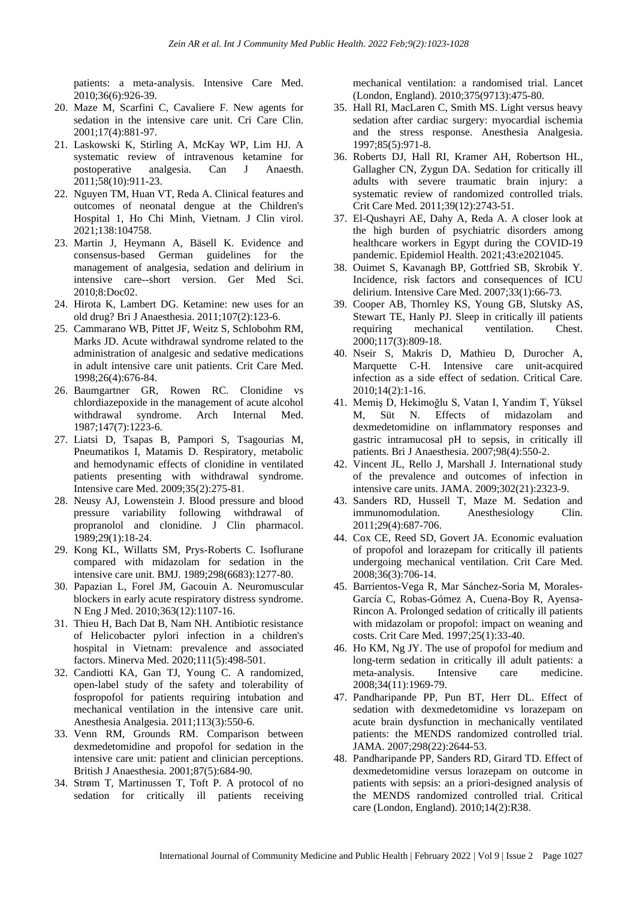patients: a meta-analysis. Intensive Care Med. 2010;36(6):926-39.

- 20. Maze M, Scarfini C, Cavaliere F. New agents for sedation in the intensive care unit. Cri Care Clin. 2001;17(4):881-97.
- 21. Laskowski K, Stirling A, McKay WP, Lim HJ. A systematic review of intravenous ketamine for postoperative analgesia. Can J Anaesth. 2011;58(10):911-23.
- 22. Nguyen TM, Huan VT, Reda A. Clinical features and outcomes of neonatal dengue at the Children's Hospital 1, Ho Chi Minh, Vietnam. J Clin virol. 2021;138:104758.
- 23. Martin J, Heymann A, Bäsell K. Evidence and consensus-based German guidelines for the management of analgesia, sedation and delirium in intensive care--short version. Ger Med Sci. 2010;8:Doc02.
- 24. Hirota K, Lambert DG. Ketamine: new uses for an old drug? Bri J Anaesthesia. 2011;107(2):123-6.
- 25. Cammarano WB, Pittet JF, Weitz S, Schlobohm RM, Marks JD. Acute withdrawal syndrome related to the administration of analgesic and sedative medications in adult intensive care unit patients. Crit Care Med. 1998;26(4):676-84.
- 26. Baumgartner GR, Rowen RC. Clonidine vs chlordiazepoxide in the management of acute alcohol withdrawal syndrome. Arch Internal Med. 1987;147(7):1223-6.
- 27. Liatsi D, Tsapas B, Pampori S, Tsagourias M, Pneumatikos I, Matamis D. Respiratory, metabolic and hemodynamic effects of clonidine in ventilated patients presenting with withdrawal syndrome. Intensive care Med. 2009;35(2):275-81.
- 28. Neusy AJ, Lowenstein J. Blood pressure and blood pressure variability following withdrawal of propranolol and clonidine. J Clin pharmacol. 1989;29(1):18-24.
- 29. Kong KL, Willatts SM, Prys-Roberts C. Isoflurane compared with midazolam for sedation in the intensive care unit. BMJ. 1989;298(6683):1277-80.
- 30. Papazian L, Forel JM, Gacouin A. Neuromuscular blockers in early acute respiratory distress syndrome. N Eng J Med. 2010;363(12):1107-16.
- 31. Thieu H, Bach Dat B, Nam NH. Antibiotic resistance of Helicobacter pylori infection in a children's hospital in Vietnam: prevalence and associated factors. Minerva Med. 2020;111(5):498-501.
- 32. Candiotti KA, Gan TJ, Young C. A randomized, open-label study of the safety and tolerability of fospropofol for patients requiring intubation and mechanical ventilation in the intensive care unit. Anesthesia Analgesia. 2011;113(3):550-6.
- 33. Venn RM, Grounds RM. Comparison between dexmedetomidine and propofol for sedation in the intensive care unit: patient and clinician perceptions. British J Anaesthesia. 2001;87(5):684-90.
- 34. Strøm T, Martinussen T, Toft P. A protocol of no sedation for critically ill patients receiving

mechanical ventilation: a randomised trial. Lancet (London, England). 2010;375(9713):475-80.

- 35. Hall RI, MacLaren C, Smith MS. Light versus heavy sedation after cardiac surgery: myocardial ischemia and the stress response. Anesthesia Analgesia. 1997;85(5):971-8.
- 36. Roberts DJ, Hall RI, Kramer AH, Robertson HL, Gallagher CN, Zygun DA. Sedation for critically ill adults with severe traumatic brain injury: a systematic review of randomized controlled trials. Crit Care Med. 2011;39(12):2743-51.
- 37. El-Qushayri AE, Dahy A, Reda A. A closer look at the high burden of psychiatric disorders among healthcare workers in Egypt during the COVID-19 pandemic. Epidemiol Health. 2021;43:e2021045.
- 38. Ouimet S, Kavanagh BP, Gottfried SB, Skrobik Y. Incidence, risk factors and consequences of ICU delirium. Intensive Care Med. 2007;33(1):66-73.
- 39. Cooper AB, Thornley KS, Young GB, Slutsky AS, Stewart TE, Hanly PJ. Sleep in critically ill patients requiring mechanical ventilation. Chest. 2000;117(3):809-18.
- 40. Nseir S, Makris D, Mathieu D, Durocher A, Marquette C-H. Intensive care unit-acquired infection as a side effect of sedation. Critical Care. 2010;14(2):1-16.
- 41. Memiş D, Hekimoğlu S, Vatan I, Yandim T, Yüksel M, Süt N. Effects of midazolam and dexmedetomidine on inflammatory responses and gastric intramucosal pH to sepsis, in critically ill patients. Bri J Anaesthesia. 2007;98(4):550-2.
- 42. Vincent JL, Rello J, Marshall J. International study of the prevalence and outcomes of infection in intensive care units. JAMA. 2009;302(21):2323-9.
- 43. Sanders RD, Hussell T, Maze M. Sedation and immunomodulation. Anesthesiology Clin. 2011;29(4):687-706.
- 44. Cox CE, Reed SD, Govert JA. Economic evaluation of propofol and lorazepam for critically ill patients undergoing mechanical ventilation. Crit Care Med. 2008;36(3):706-14.
- 45. Barrientos-Vega R, Mar Sánchez-Soria M, Morales-García C, Robas-Gómez A, Cuena-Boy R, Ayensa-Rincon A. Prolonged sedation of critically ill patients with midazolam or propofol: impact on weaning and costs. Crit Care Med. 1997;25(1):33-40.
- 46. Ho KM, Ng JY. The use of propofol for medium and long-term sedation in critically ill adult patients: a meta-analysis. Intensive care medicine. 2008;34(11):1969-79.
- 47. Pandharipande PP, Pun BT, Herr DL. Effect of sedation with dexmedetomidine vs lorazepam on acute brain dysfunction in mechanically ventilated patients: the MENDS randomized controlled trial. JAMA. 2007;298(22):2644-53.
- 48. Pandharipande PP, Sanders RD, Girard TD. Effect of dexmedetomidine versus lorazepam on outcome in patients with sepsis: an a priori-designed analysis of the MENDS randomized controlled trial. Critical care (London, England). 2010;14(2):R38.